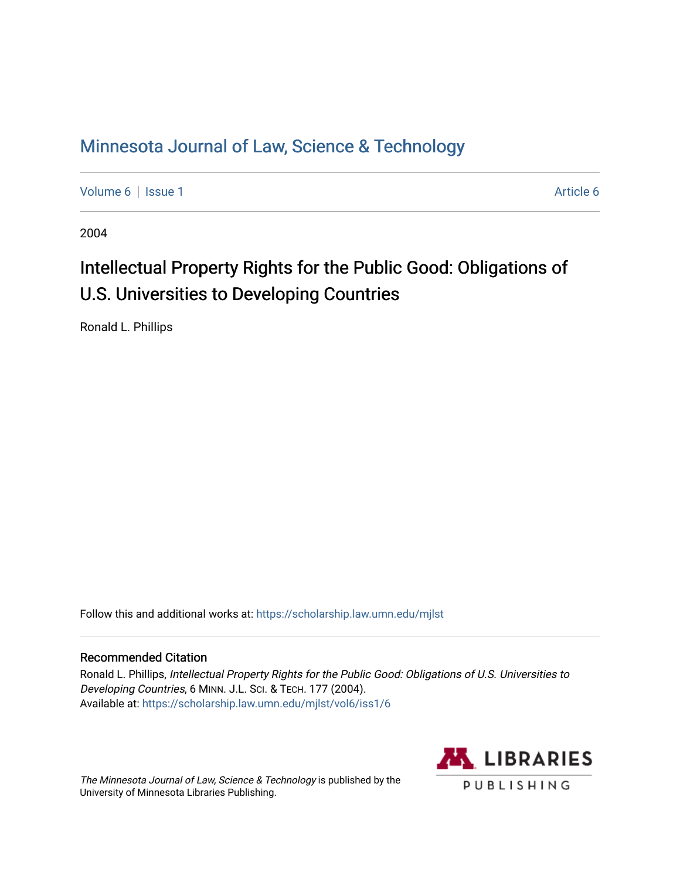## [Minnesota Journal of Law, Science & Technology](https://scholarship.law.umn.edu/mjlst?utm_source=scholarship.law.umn.edu%2Fmjlst%2Fvol6%2Fiss1%2F6&utm_medium=PDF&utm_campaign=PDFCoverPages)

[Volume 6](https://scholarship.law.umn.edu/mjlst/vol6?utm_source=scholarship.law.umn.edu%2Fmjlst%2Fvol6%2Fiss1%2F6&utm_medium=PDF&utm_campaign=PDFCoverPages) | [Issue 1](https://scholarship.law.umn.edu/mjlst/vol6/iss1?utm_source=scholarship.law.umn.edu%2Fmjlst%2Fvol6%2Fiss1%2F6&utm_medium=PDF&utm_campaign=PDFCoverPages) [Article 6](https://scholarship.law.umn.edu/mjlst/vol6/iss1/6?utm_source=scholarship.law.umn.edu%2Fmjlst%2Fvol6%2Fiss1%2F6&utm_medium=PDF&utm_campaign=PDFCoverPages) | Article 6 | Article 6 | Article 6 | Article 6 | Article 6 | Article 6 | Article 6 | Article 6 | Article 6 | Article 6 | Article 6 | Article 6 | Article 6 | Article 6 | Article 6 | Article 6 |

2004

# Intellectual Property Rights for the Public Good: Obligations of U.S. Universities to Developing Countries

Ronald L. Phillips

Follow this and additional works at: [https://scholarship.law.umn.edu/mjlst](https://scholarship.law.umn.edu/mjlst?utm_source=scholarship.law.umn.edu%2Fmjlst%2Fvol6%2Fiss1%2F6&utm_medium=PDF&utm_campaign=PDFCoverPages) 

#### Recommended Citation

Ronald L. Phillips, Intellectual Property Rights for the Public Good: Obligations of U.S. Universities to Developing Countries, 6 MINN. J.L. SCI. & TECH. 177 (2004). Available at: [https://scholarship.law.umn.edu/mjlst/vol6/iss1/6](https://scholarship.law.umn.edu/mjlst/vol6/iss1/6?utm_source=scholarship.law.umn.edu%2Fmjlst%2Fvol6%2Fiss1%2F6&utm_medium=PDF&utm_campaign=PDFCoverPages) 

The Minnesota Journal of Law, Science & Technology is published by the University of Minnesota Libraries Publishing.

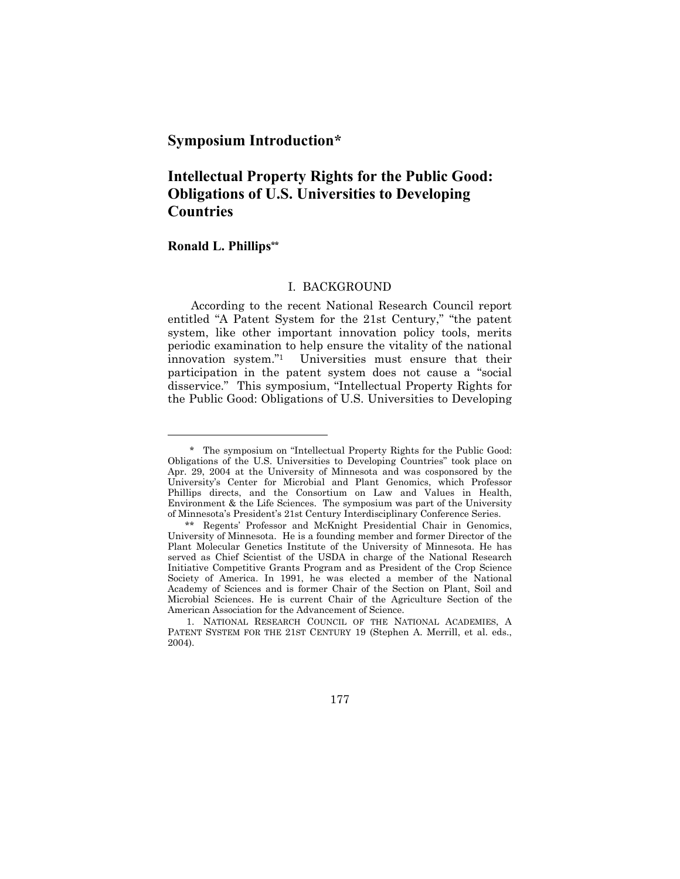### **Symposium Introduction\***

## **Intellectual Property Rights for the Public Good: Obligations of U.S. Universities to Developing Countries**

#### **Ronald L. Phillips\*\***

l

#### I. BACKGROUND

According to the recent National Research Council report entitled "A Patent System for the 21st Century," "the patent system, like other important innovation policy tools, merits periodic examination to help ensure the vitality of the national innovation system."1 Universities must ensure that their participation in the patent system does not cause a "social disservice." This symposium, "Intellectual Property Rights for the Public Good: Obligations of U.S. Universities to Developing

177

 <sup>\*</sup> The symposium on "Intellectual Property Rights for the Public Good: Obligations of the U.S. Universities to Developing Countries" took place on Apr. 29, 2004 at the University of Minnesota and was cosponsored by the University's Center for Microbial and Plant Genomics, which Professor Phillips directs, and the Consortium on Law and Values in Health, Environment & the Life Sciences. The symposium was part of the University of Minnesota's President's 21st Century Interdisciplinary Conference Series.

 <sup>\*\*</sup> Regents' Professor and McKnight Presidential Chair in Genomics, University of Minnesota. He is a founding member and former Director of the Plant Molecular Genetics Institute of the University of Minnesota. He has served as Chief Scientist of the USDA in charge of the National Research Initiative Competitive Grants Program and as President of the Crop Science Society of America. In 1991, he was elected a member of the National Academy of Sciences and is former Chair of the Section on Plant, Soil and Microbial Sciences. He is current Chair of the Agriculture Section of the American Association for the Advancement of Science.

 <sup>1.</sup> NATIONAL RESEARCH COUNCIL OF THE NATIONAL ACADEMIES, A PATENT SYSTEM FOR THE 21ST CENTURY 19 (Stephen A. Merrill, et al. eds., 2004).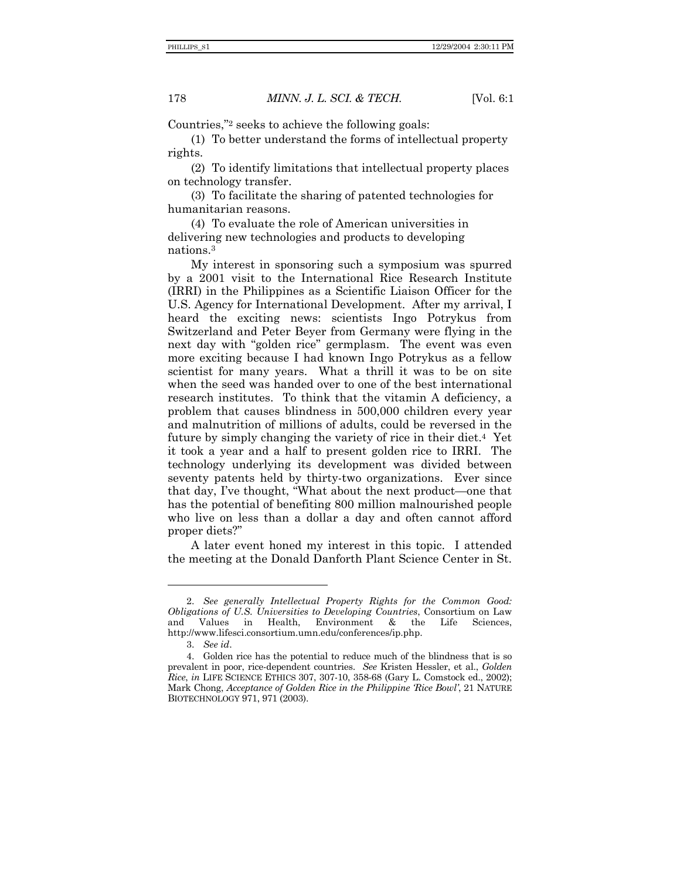#### 178 *MINN. J. L. SCI. & TECH.* [Vol. 6:1

Countries,"2 seeks to achieve the following goals:

(1) To better understand the forms of intellectual property rights.

(2) To identify limitations that intellectual property places on technology transfer.

(3) To facilitate the sharing of patented technologies for humanitarian reasons.

(4) To evaluate the role of American universities in delivering new technologies and products to developing nations.3

My interest in sponsoring such a symposium was spurred by a 2001 visit to the International Rice Research Institute (IRRI) in the Philippines as a Scientific Liaison Officer for the U.S. Agency for International Development. After my arrival, I heard the exciting news: scientists Ingo Potrykus from Switzerland and Peter Beyer from Germany were flying in the next day with "golden rice" germplasm. The event was even more exciting because I had known Ingo Potrykus as a fellow scientist for many years. What a thrill it was to be on site when the seed was handed over to one of the best international research institutes. To think that the vitamin A deficiency, a problem that causes blindness in 500,000 children every year and malnutrition of millions of adults, could be reversed in the future by simply changing the variety of rice in their diet.4 Yet it took a year and a half to present golden rice to IRRI. The technology underlying its development was divided between seventy patents held by thirty-two organizations. Ever since that day, I've thought, "What about the next product—one that has the potential of benefiting 800 million malnourished people who live on less than a dollar a day and often cannot afford proper diets?"

A later event honed my interest in this topic. I attended the meeting at the Donald Danforth Plant Science Center in St.

<sup>2.</sup> *See generally Intellectual Property Rights for the Common Good: Obligations of U.S. Universities to Developing Countries*, Consortium on Law and Values in Health, Environment & the Life Sciences, http://www.lifesci.consortium.umn.edu/conferences/ip.php.

<sup>3.</sup> *See id*.

 <sup>4.</sup> Golden rice has the potential to reduce much of the blindness that is so prevalent in poor, rice-dependent countries. *See* Kristen Hessler, et al., *Golden Rice*, *in* LIFE SCIENCE ETHICS 307, 307-10, 358-68 (Gary L. Comstock ed., 2002); Mark Chong, *Acceptance of Golden Rice in the Philippine 'Rice Bowl'*, 21 NATURE BIOTECHNOLOGY 971, 971 (2003).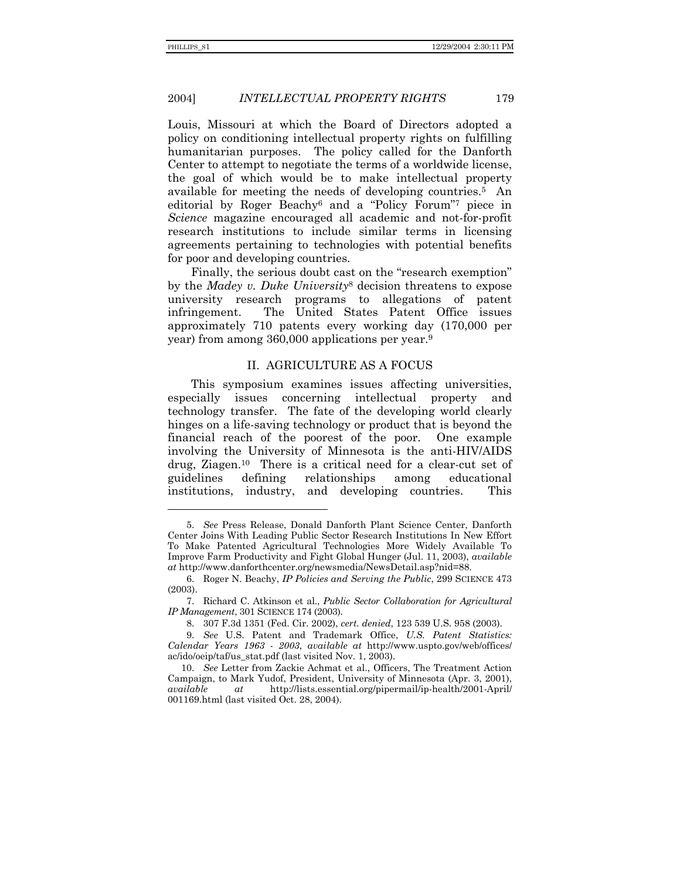l

#### 2004] *INTELLECTUAL PROPERTY RIGHTS* 179

Louis, Missouri at which the Board of Directors adopted a policy on conditioning intellectual property rights on fulfilling humanitarian purposes. The policy called for the Danforth Center to attempt to negotiate the terms of a worldwide license, the goal of which would be to make intellectual property available for meeting the needs of developing countries.5 An editorial by Roger Beachy6 and a "Policy Forum"7 piece in *Science* magazine encouraged all academic and not-for-profit research institutions to include similar terms in licensing agreements pertaining to technologies with potential benefits for poor and developing countries.

Finally, the serious doubt cast on the "research exemption" by the *Madey v. Duke University*8 decision threatens to expose university research programs to allegations of patent infringement. The United States Patent Office issues approximately 710 patents every working day (170,000 per year) from among 360,000 applications per year.9

#### II. AGRICULTURE AS A FOCUS

This symposium examines issues affecting universities, especially issues concerning intellectual property and technology transfer. The fate of the developing world clearly hinges on a life-saving technology or product that is beyond the financial reach of the poorest of the poor. One example involving the University of Minnesota is the anti-HIV/AIDS drug, Ziagen.10 There is a critical need for a clear-cut set of guidelines defining relationships among educational institutions, industry, and developing countries. This

<sup>5.</sup> *See* Press Release, Donald Danforth Plant Science Center, Danforth Center Joins With Leading Public Sector Research Institutions In New Effort To Make Patented Agricultural Technologies More Widely Available To Improve Farm Productivity and Fight Global Hunger (Jul. 11, 2003), *available at* http://www.danforthcenter.org/newsmedia/NewsDetail.asp?nid=88.

 <sup>6.</sup> Roger N. Beachy, *IP Policies and Serving the Public*, 299 SCIENCE 473 (2003).

 <sup>7.</sup> Richard C. Atkinson et al., *Public Sector Collaboration for Agricultural IP Management*, 301 SCIENCE 174 (2003).

 <sup>8. 307</sup> F.3d 1351 (Fed. Cir. 2002), *cert. denied*, 123 539 U.S. 958 (2003).

<sup>9.</sup> *See* U.S. Patent and Trademark Office, *U.S. Patent Statistics: Calendar Years 1963 - 2003*, *available at* http://www.uspto.gov/web/offices/ ac/ido/oeip/taf/us\_stat.pdf (last visited Nov. 1, 2003).

<sup>10.</sup> *See* Letter from Zackie Achmat et al., Officers, The Treatment Action Campaign, to Mark Yudof, President, University of Minnesota (Apr. 3, 2001), *available at* http://lists.essential.org/pipermail/ip-health/2001-April/ 001169.html (last visited Oct. 28, 2004).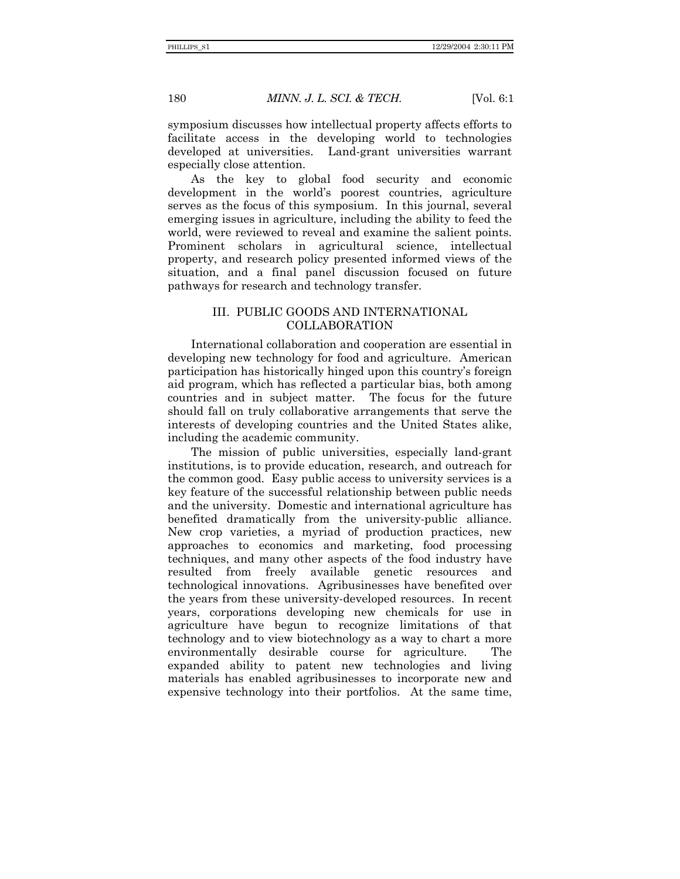180 *MINN. J. L. SCI. & TECH.* [Vol. 6:1

symposium discusses how intellectual property affects efforts to facilitate access in the developing world to technologies developed at universities. Land-grant universities warrant especially close attention.

As the key to global food security and economic development in the world's poorest countries, agriculture serves as the focus of this symposium. In this journal, several emerging issues in agriculture, including the ability to feed the world, were reviewed to reveal and examine the salient points. Prominent scholars in agricultural science, intellectual property, and research policy presented informed views of the situation, and a final panel discussion focused on future pathways for research and technology transfer.

#### III. PUBLIC GOODS AND INTERNATIONAL COLLABORATION

International collaboration and cooperation are essential in developing new technology for food and agriculture. American participation has historically hinged upon this country's foreign aid program, which has reflected a particular bias, both among countries and in subject matter. The focus for the future should fall on truly collaborative arrangements that serve the interests of developing countries and the United States alike, including the academic community.

The mission of public universities, especially land-grant institutions, is to provide education, research, and outreach for the common good. Easy public access to university services is a key feature of the successful relationship between public needs and the university. Domestic and international agriculture has benefited dramatically from the university-public alliance. New crop varieties, a myriad of production practices, new approaches to economics and marketing, food processing techniques, and many other aspects of the food industry have resulted from freely available genetic resources and technological innovations. Agribusinesses have benefited over the years from these university-developed resources. In recent years, corporations developing new chemicals for use in agriculture have begun to recognize limitations of that technology and to view biotechnology as a way to chart a more environmentally desirable course for agriculture. The expanded ability to patent new technologies and living materials has enabled agribusinesses to incorporate new and expensive technology into their portfolios. At the same time,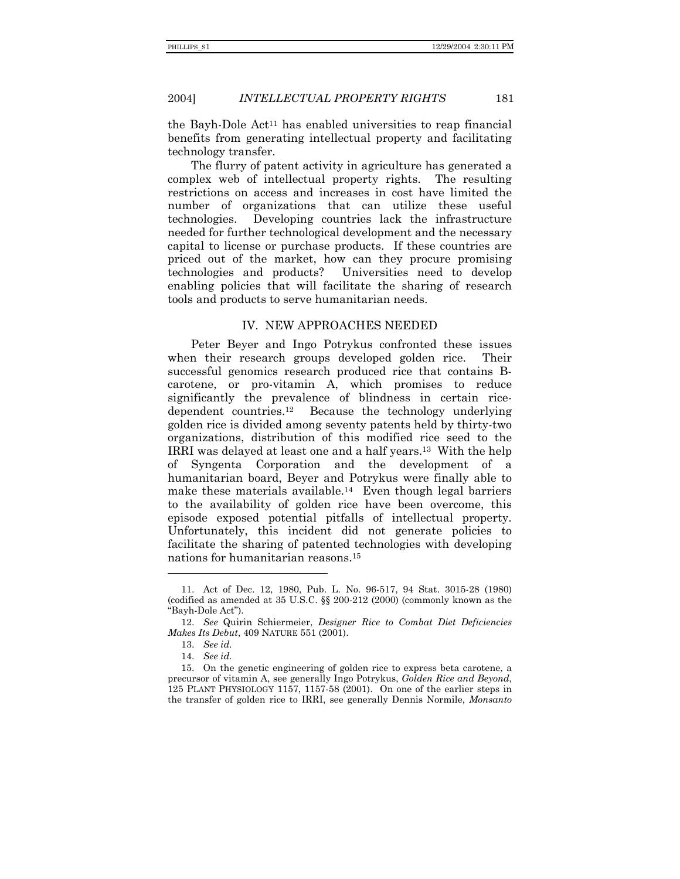#### 2004] *INTELLECTUAL PROPERTY RIGHTS* 181

the Bayh-Dole Act11 has enabled universities to reap financial benefits from generating intellectual property and facilitating technology transfer.

The flurry of patent activity in agriculture has generated a complex web of intellectual property rights. The resulting restrictions on access and increases in cost have limited the number of organizations that can utilize these useful technologies. Developing countries lack the infrastructure needed for further technological development and the necessary capital to license or purchase products. If these countries are priced out of the market, how can they procure promising technologies and products? Universities need to develop enabling policies that will facilitate the sharing of research tools and products to serve humanitarian needs.

#### IV. NEW APPROACHES NEEDED

Peter Beyer and Ingo Potrykus confronted these issues when their research groups developed golden rice. Their successful genomics research produced rice that contains Bcarotene, or pro-vitamin A, which promises to reduce significantly the prevalence of blindness in certain ricedependent countries.12 Because the technology underlying golden rice is divided among seventy patents held by thirty-two organizations, distribution of this modified rice seed to the IRRI was delayed at least one and a half years.13 With the help of Syngenta Corporation and the development of a humanitarian board, Beyer and Potrykus were finally able to make these materials available.14 Even though legal barriers to the availability of golden rice have been overcome, this episode exposed potential pitfalls of intellectual property. Unfortunately, this incident did not generate policies to facilitate the sharing of patented technologies with developing nations for humanitarian reasons.15

 <sup>11.</sup> Act of Dec. 12, 1980, Pub. L. No. 96-517, 94 Stat. 3015-28 (1980) (codified as amended at 35 U.S.C. §§ 200-212 (2000) (commonly known as the "Bayh-Dole Act").

<sup>12.</sup> *See* Quirin Schiermeier, *Designer Rice to Combat Diet Deficiencies Makes Its Debut*, 409 NATURE 551 (2001).

<sup>13.</sup> *See id.*

<sup>14.</sup> *See id.*

 <sup>15.</sup> On the genetic engineering of golden rice to express beta carotene, a precursor of vitamin A, see generally Ingo Potrykus, *Golden Rice and Beyond*, 125 PLANT PHYSIOLOGY 1157, 1157-58 (2001). On one of the earlier steps in the transfer of golden rice to IRRI, see generally Dennis Normile, *Monsanto*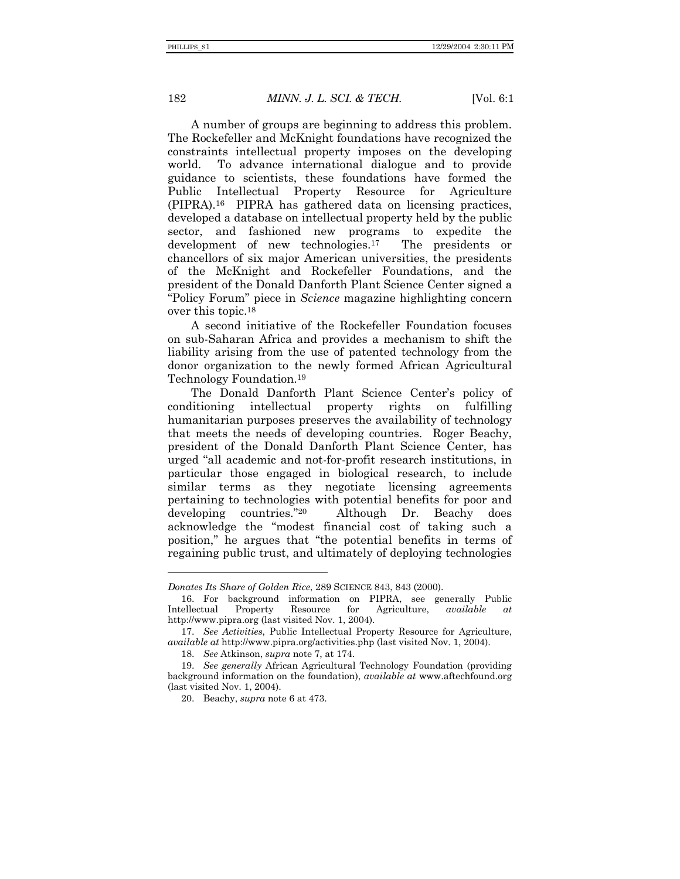l

#### 182 *MINN. J. L. SCI. & TECH.* [Vol. 6:1

A number of groups are beginning to address this problem. The Rockefeller and McKnight foundations have recognized the constraints intellectual property imposes on the developing world. To advance international dialogue and to provide guidance to scientists, these foundations have formed the Public Intellectual Property Resource for Agriculture (PIPRA).16 PIPRA has gathered data on licensing practices, developed a database on intellectual property held by the public sector, and fashioned new programs to expedite the development of new technologies.17 The presidents or chancellors of six major American universities, the presidents of the McKnight and Rockefeller Foundations, and the president of the Donald Danforth Plant Science Center signed a "Policy Forum" piece in *Science* magazine highlighting concern over this topic.18

A second initiative of the Rockefeller Foundation focuses on sub-Saharan Africa and provides a mechanism to shift the liability arising from the use of patented technology from the donor organization to the newly formed African Agricultural Technology Foundation.19

The Donald Danforth Plant Science Center's policy of conditioning intellectual property rights on fulfilling humanitarian purposes preserves the availability of technology that meets the needs of developing countries. Roger Beachy, president of the Donald Danforth Plant Science Center, has urged "all academic and not-for-profit research institutions, in particular those engaged in biological research, to include similar terms as they negotiate licensing agreements pertaining to technologies with potential benefits for poor and developing countries."20 Although Dr. Beachy does acknowledge the "modest financial cost of taking such a position," he argues that "the potential benefits in terms of regaining public trust, and ultimately of deploying technologies

*Donates Its Share of Golden Rice*, 289 SCIENCE 843, 843 (2000).

 <sup>16.</sup> For background information on PIPRA, see generally Public Intellectual Property Resource for Agriculture, *available at* http://www.pipra.org (last visited Nov. 1, 2004).

<sup>17.</sup> *See Activities*, Public Intellectual Property Resource for Agriculture, *available at* http://www.pipra.org/activities.php (last visited Nov. 1, 2004).

<sup>18.</sup> *See* Atkinson, *supra* note 7, at 174.

<sup>19.</sup> *See generally* African Agricultural Technology Foundation (providing background information on the foundation), *available at* www.aftechfound.org (last visited Nov. 1, 2004).

 <sup>20.</sup> Beachy, *supra* note 6 at 473.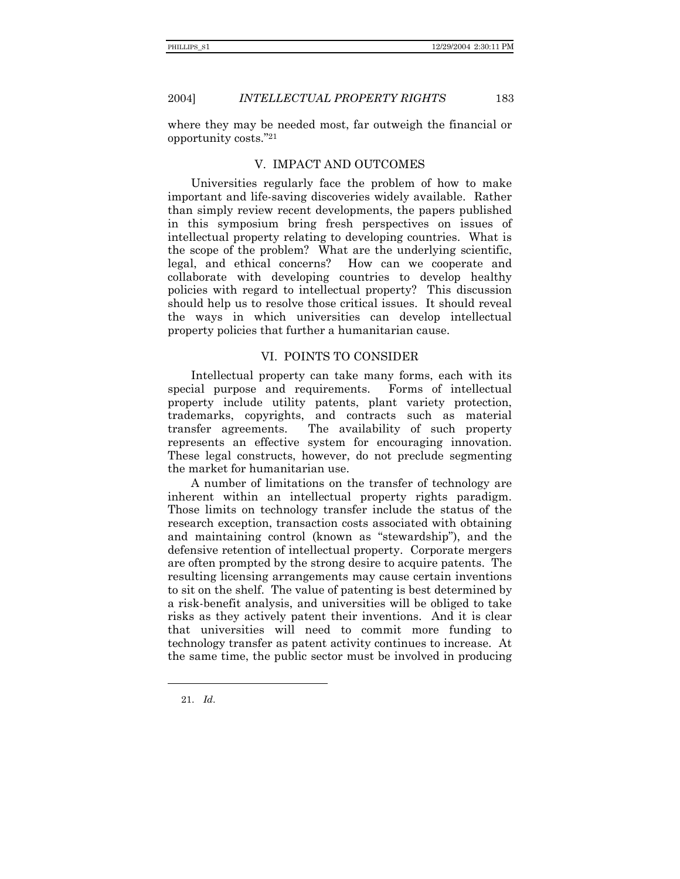2004] *INTELLECTUAL PROPERTY RIGHTS* 183

where they may be needed most, far outweigh the financial or opportunity costs."21

#### V. IMPACT AND OUTCOMES

Universities regularly face the problem of how to make important and life-saving discoveries widely available. Rather than simply review recent developments, the papers published in this symposium bring fresh perspectives on issues of intellectual property relating to developing countries. What is the scope of the problem? What are the underlying scientific, legal, and ethical concerns? How can we cooperate and collaborate with developing countries to develop healthy policies with regard to intellectual property? This discussion should help us to resolve those critical issues. It should reveal the ways in which universities can develop intellectual property policies that further a humanitarian cause.

#### VI. POINTS TO CONSIDER

Intellectual property can take many forms, each with its special purpose and requirements. Forms of intellectual property include utility patents, plant variety protection, trademarks, copyrights, and contracts such as material transfer agreements. The availability of such property represents an effective system for encouraging innovation. These legal constructs, however, do not preclude segmenting the market for humanitarian use.

A number of limitations on the transfer of technology are inherent within an intellectual property rights paradigm. Those limits on technology transfer include the status of the research exception, transaction costs associated with obtaining and maintaining control (known as "stewardship"), and the defensive retention of intellectual property. Corporate mergers are often prompted by the strong desire to acquire patents. The resulting licensing arrangements may cause certain inventions to sit on the shelf. The value of patenting is best determined by a risk-benefit analysis, and universities will be obliged to take risks as they actively patent their inventions. And it is clear that universities will need to commit more funding to technology transfer as patent activity continues to increase. At the same time, the public sector must be involved in producing

<sup>21.</sup> *Id*.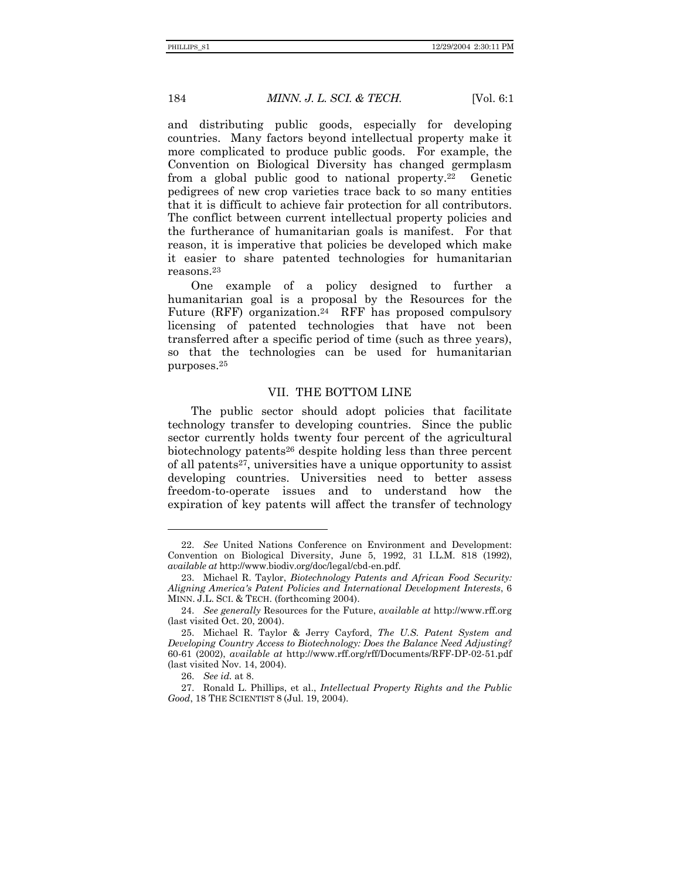184 *MINN. J. L. SCI. & TECH.* [Vol. 6:1

and distributing public goods, especially for developing countries. Many factors beyond intellectual property make it more complicated to produce public goods. For example, the Convention on Biological Diversity has changed germplasm from a global public good to national property.22 Genetic pedigrees of new crop varieties trace back to so many entities that it is difficult to achieve fair protection for all contributors. The conflict between current intellectual property policies and the furtherance of humanitarian goals is manifest. For that reason, it is imperative that policies be developed which make it easier to share patented technologies for humanitarian reasons.23

One example of a policy designed to further a humanitarian goal is a proposal by the Resources for the Future (RFF) organization.<sup>24</sup> RFF has proposed compulsory licensing of patented technologies that have not been transferred after a specific period of time (such as three years), so that the technologies can be used for humanitarian purposes.25

#### VII. THE BOTTOM LINE

The public sector should adopt policies that facilitate technology transfer to developing countries. Since the public sector currently holds twenty four percent of the agricultural biotechnology patents26 despite holding less than three percent of all patents27, universities have a unique opportunity to assist developing countries. Universities need to better assess freedom-to-operate issues and to understand how the expiration of key patents will affect the transfer of technology

<sup>22.</sup> *See* United Nations Conference on Environment and Development: Convention on Biological Diversity, June 5, 1992, 31 I.L.M. 818 (1992), *available at* http://www.biodiv.org/doc/legal/cbd-en.pdf.

 <sup>23.</sup> Michael R. Taylor, *Biotechnology Patents and African Food Security: Aligning America's Patent Policies and International Development Interests*, 6 MINN. J.L. SCI. & TECH. (forthcoming 2004).

<sup>24.</sup> *See generally* Resources for the Future, *available at* http://www.rff.org (last visited Oct. 20, 2004).

 <sup>25.</sup> Michael R. Taylor & Jerry Cayford, *The U.S. Patent System and Developing Country Access to Biotechnology: Does the Balance Need Adjusting?* 60-61 (2002), *available at* http://www.rff.org/rff/Documents/RFF-DP-02-51.pdf (last visited Nov. 14, 2004).

<sup>26.</sup> *See id.* at 8.

 <sup>27.</sup> Ronald L. Phillips, et al., *Intellectual Property Rights and the Public Good*, 18 THE SCIENTIST 8 (Jul. 19, 2004).